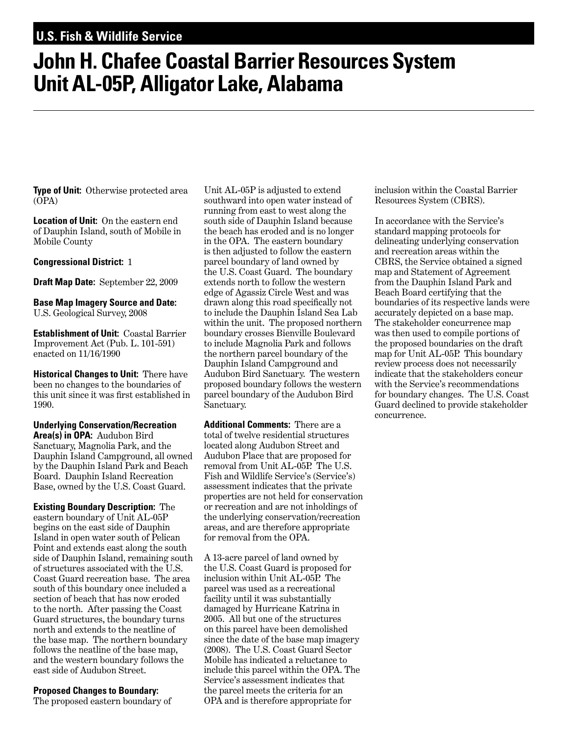## **U.S. Fish & Wildlife Service**

## **John H. Chafee Coastal Barrier Resources System Unit AL-05P, Alligator Lake, Alabama**

**Type of Unit:** Otherwise protected area (OPA)

**Location of Unit:** On the eastern end of Dauphin Island, south of Mobile in Mobile County

**Congressional District:** 1

**Draft Map Date:** September 22, 2009

**Base Map Imagery Source and Date:**  U.S. Geological Survey, 2008

**Establishment of Unit:** Coastal Barrier Improvement Act (Pub. L. 101-591) enacted on 11/16/1990

**Historical Changes to Unit:** There have been no changes to the boundaries of this unit since it was first established in 1990.

**Underlying Conservation/Recreation Area(s) in OPA:** Audubon Bird Sanctuary, Magnolia Park, and the Dauphin Island Campground, all owned by the Dauphin Island Park and Beach Board. Dauphin Island Recreation Base, owned by the U.S. Coast Guard.

**Existing Boundary Description:** The eastern boundary of Unit AL-05P begins on the east side of Dauphin Island in open water south of Pelican Point and extends east along the south side of Dauphin Island, remaining south of structures associated with the U.S. Coast Guard recreation base. The area south of this boundary once included a section of beach that has now eroded to the north. After passing the Coast Guard structures, the boundary turns north and extends to the neatline of the base map. The northern boundary follows the neatline of the base map, and the western boundary follows the east side of Audubon Street.

## **Proposed Changes to Boundary:**

The proposed eastern boundary of

Unit AL-05P is adjusted to extend southward into open water instead of running from east to west along the south side of Dauphin Island because the beach has eroded and is no longer in the OPA. The eastern boundary is then adjusted to follow the eastern parcel boundary of land owned by the U.S. Coast Guard. The boundary extends north to follow the western edge of Agassiz Circle West and was drawn along this road specifically not to include the Dauphin Island Sea Lab within the unit. The proposed northern boundary crosses Bienville Boulevard to include Magnolia Park and follows the northern parcel boundary of the Dauphin Island Campground and Audubon Bird Sanctuary. The western proposed boundary follows the western parcel boundary of the Audubon Bird Sanctuary.

**Additional Comments:** There are a total of twelve residential structures located along Audubon Street and Audubon Place that are proposed for removal from Unit AL-05P. The U.S. Fish and Wildlife Service's (Service's) assessment indicates that the private properties are not held for conservation or recreation and are not inholdings of the underlying conservation/recreation areas, and are therefore appropriate for removal from the OPA.

A 13-acre parcel of land owned by the U.S. Coast Guard is proposed for inclusion within Unit AL-05P. The parcel was used as a recreational facility until it was substantially damaged by Hurricane Katrina in 2005. All but one of the structures on this parcel have been demolished since the date of the base map imagery (2008). The U.S. Coast Guard Sector Mobile has indicated a reluctance to include this parcel within the OPA. The Service's assessment indicates that the parcel meets the criteria for an OPA and is therefore appropriate for

inclusion within the Coastal Barrier Resources System (CBRS).

In accordance with the Service's standard mapping protocols for delineating underlying conservation and recreation areas within the CBRS, the Service obtained a signed map and Statement of Agreement from the Dauphin Island Park and Beach Board certifying that the boundaries of its respective lands were accurately depicted on a base map. The stakeholder concurrence map was then used to compile portions of the proposed boundaries on the draft map for Unit AL-05P. This boundary review process does not necessarily indicate that the stakeholders concur with the Service's recommendations for boundary changes. The U.S. Coast Guard declined to provide stakeholder concurrence.